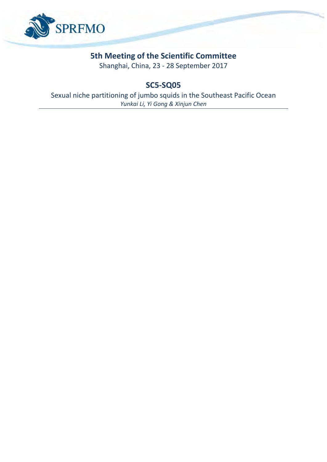

## **5th Meeting of the Scientific Committee**

Shanghai, China, 23 - 28 September 2017

**SC5-SQ05**

Sexual niche partitioning of jumbo squids in the Southeast Pacific Ocean *Yunkai Li, Yi Gong & Xinjun Chen*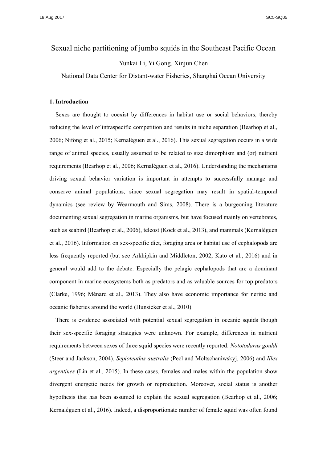# Sexual niche partitioning of jumbo squids in the Southeast Pacific Ocean

Yunkai Li, Yi Gong, Xinjun Chen

National Data Center for Distant-water Fisheries, Shanghai Ocean University

#### **1. Introduction**

Sexes are thought to coexist by differences in habitat use or social behaviors, thereby reducing the level of intraspecific competition and results in niche separation (Bearhop et al., 2006; Nifong et al., 2015; Kernaléguen et al., 2016). This sexual segregation occurs in a wide range of animal species, usually assumed to be related to size dimorphism and (or) nutrient requirements (Bearhop et al., 2006; Kernaléguen et al., 2016). Understanding the mechanisms driving sexual behavior variation is important in attempts to successfully manage and conserve animal populations, since sexual segregation may result in spatial-temporal dynamics (see review by Wearmouth and Sims, 2008). There is a burgeoning literature documenting sexual segregation in marine organisms, but have focused mainly on vertebrates, such as seabird (Bearhop et al., 2006), teleost (Kock et al., 2013), and mammals (Kernaléguen et al., 2016). Information on sex-specific diet, foraging area or habitat use of cephalopods are less frequently reported (but see Arkhipkin and Middleton, 2002; Kato et al., 2016) and in general would add to the debate. Especially the pelagic cephalopods that are a dominant component in marine ecosystems both as predators and as valuable sources for top predators (Clarke, 1996; Ménard et al., 2013). They also have economic importance for neritic and oceanic fisheries around the world (Hunsicker et al., 2010).

There is evidence associated with potential sexual segregation in oceanic squids though their sex-specific foraging strategies were unknown. For example, differences in nutrient requirements between sexes of three squid species were recently reported: *Nototodarus gouldi* (Steer and Jackson, 2004), *Sepioteuthis australis* (Pecl and Moltschaniwskyj, 2006) and *Illex argentines* (Lin et al., 2015). In these cases, females and males within the population show divergent energetic needs for growth or reproduction. Moreover, social status is another hypothesis that has been assumed to explain the sexual segregation (Bearhop et al., 2006; Kernaléguen et al., 2016). Indeed, a disproportionate number of female squid was often found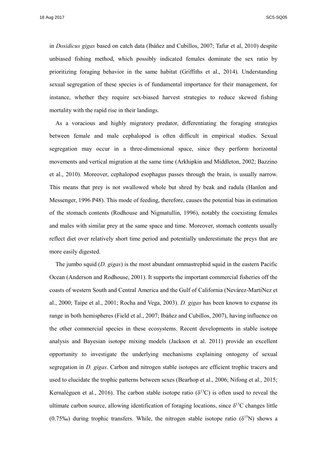18 Aug 2017 SC5-SQ05

in *Dosidicus gigas* based on catch data (Ibáñez and Cubillos, 2007; Tafur et al, 2010) despite unbiased fishing method, which possibly indicated females dominate the sex ratio by prioritizing foraging behavior in the same habitat (Griffiths et al., 2014). Understanding sexual segregation of these species is of fundamental importance for their management, for instance, whether they require sex-biased harvest strategies to reduce skewed fishing mortality with the rapid rise in their landings.

As a voracious and highly migratory predator, differentiating the foraging strategies between female and male cephalopod is often difficult in empirical studies. Sexual segregation may occur in a three-dimensional space, since they perform horizontal movements and vertical migration at the same time (Arkhipkin and Middleton, 2002; Bazzino et al., 2010). Moreover, cephalopod esophagus passes through the brain, is usually narrow. This means that prey is not swallowed whole but shred by beak and radula (Hanlon and Messenger, 1996 P48). This mode of feeding, therefore, causes the potential bias in estimation of the stomach contents (Rodhouse and Nigmatullin, 1996), notably the coexisting females and males with similar prey at the same space and time. Moreover, stomach contents usually reflect diet over relatively short time period and potentially underestimate the preys that are more easily digested.

The jumbo squid (*D. gigas*) is the most abundant ommastrephid squid in the eastern Pacific Ocean (Anderson and Rodhouse, 2001). It supports the important commercial fisheries off the coasts of western South and Central America and the Gulf of California (Nevárez-Martı́Nez et al., 2000; Taipe et al., 2001; Rocha and Vega, 2003). *D. gigas* has been known to expanse its range in both hemispheres (Field et al., 2007; Ibáñez and Cubillos, 2007), having influence on the other commercial species in these ecosystems. Recent developments in stable isotope analysis and Bayesian isotope mixing models (Jackson et al. 2011) provide an excellent opportunity to investigate the underlying mechanisms explaining ontogeny of sexual segregation in *D. gigas*. Carbon and nitrogen stable isotopes are efficient trophic tracers and used to elucidate the trophic patterns between sexes (Bearhop et al., 2006; Nifong et al., 2015; Kernaléguen et al., 2016). The carbon stable isotope ratio ( $\delta^{13}$ C) is often used to reveal the ultimate carbon source, allowing identification of foraging locations, since  $\delta^{13}C$  changes little (0.75‰) during trophic transfers. While, the nitrogen stable isotope ratio ( $\delta^{15}N$ ) shows a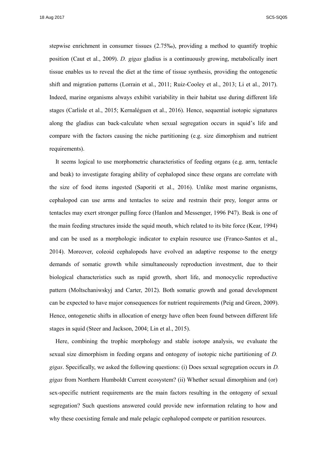18 Aug 2017 SC5-SQ05

stepwise enrichment in consumer tissues (2.75‰), providing a method to quantify trophic position (Caut et al., 2009). *D. gigas* gladius is a continuously growing, metabolically inert tissue enables us to reveal the diet at the time of tissue synthesis, providing the ontogenetic shift and migration patterns (Lorrain et al., 2011; Ruiz-Cooley et al., 2013; Li et al., 2017). Indeed, marine organisms always exhibit variability in their habitat use during different life stages (Carlisle et al., 2015; Kernaléguen et al., 2016). Hence, sequential isotopic signatures along the gladius can back-calculate when sexual segregation occurs in squid's life and compare with the factors causing the niche partitioning (e.g. size dimorphism and nutrient requirements).

It seems logical to use morphometric characteristics of feeding organs (e.g. arm, tentacle and beak) to investigate foraging ability of cephalopod since these organs are correlate with the size of food items ingested (Saporiti et al., 2016). Unlike most marine organisms, cephalopod can use arms and tentacles to seize and restrain their prey, longer arms or tentacles may exert stronger pulling force (Hanlon and Messenger, 1996 P47). Beak is one of the main feeding structures inside the squid mouth, which related to its bite force (Kear, 1994) and can be used as a morphologic indicator to explain resource use (Franco-Santos et al., 2014). Moreover, coleoid cephalopods have evolved an adaptive response to the energy demands of somatic growth while simultaneously reproduction investment, due to their biological characteristics such as rapid growth, short life, and monocyclic reproductive pattern (Moltschaniwskyj and Carter, 2012). Both somatic growth and gonad development can be expected to have major consequences for nutrient requirements (Peig and Green, 2009). Hence, ontogenetic shifts in allocation of energy have often been found between different life stages in squid (Steer and Jackson, 2004; Lin et al., 2015).

Here, combining the trophic morphology and stable isotope analysis, we evaluate the sexual size dimorphism in feeding organs and ontogeny of isotopic niche partitioning of *D. gigas*. Specifically, we asked the following questions: (i) Does sexual segregation occurs in *D. gigas* from Northern Humboldt Current ecosystem? (ii) Whether sexual dimorphism and (or) sex-specific nutrient requirements are the main factors resulting in the ontogeny of sexual segregation? Such questions answered could provide new information relating to how and why these coexisting female and male pelagic cephalopod compete or partition resources.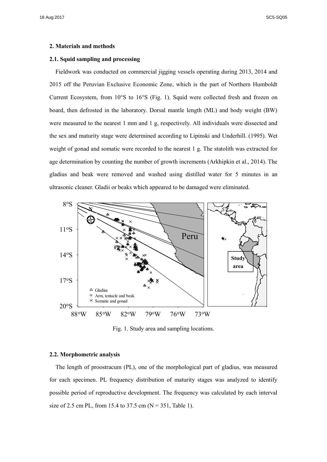#### **2. Materials and methods**

#### **2.1. Squid sampling and processing**

Fieldwork was conducted on commercial jigging vessels operating during 2013, 2014 and 2015 off the Peruvian Exclusive Economic Zone, which is the part of Northern Humboldt Current Ecosystem, from 10°S to 16°S (Fig. 1). Squid were collected fresh and frozen on board, then defrosted in the laboratory. Dorsal mantle length (ML) and body weight (BW) were measured to the nearest 1 mm and 1 g, respectively. All individuals were dissected and the sex and maturity stage were determined according to Lipinski and Underhill. (1995). Wet weight of gonad and somatic were recorded to the nearest 1 g. The statolith was extracted for age determination by counting the number of growth increments (Arkhipkin et al., 2014). The gladius and beak were removed and washed using distilled water for 5 minutes in an ultrasonic cleaner. Gladii or beaks which appeared to be damaged were eliminated.



Fig. 1. Study area and sampling locations.

#### **2.2. Morphometric analysis**

The length of proostracum (PL), one of the morphological part of gladius, was measured for each specimen. PL frequency distribution of maturity stages was analyzed to identify possible period of reproductive development. The frequency was calculated by each interval size of 2.5 cm PL, from 15.4 to 37.5 cm ( $N = 351$ , Table 1).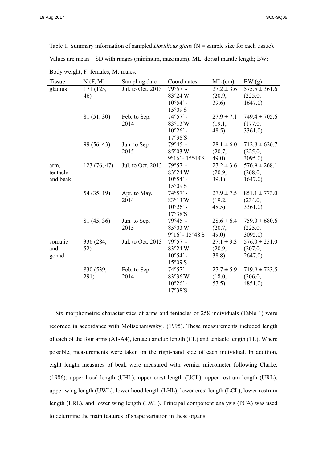Table 1. Summary information of sampled *Dosidicus gigas* (N = sample size for each tissue). Values are mean  $\pm$  SD with ranges (minimum, maximum). ML: dorsal mantle length; BW:

| Tissue   | N(F, M)     | Sampling date     | Coordinates       | $ML$ (cm)      | BW(g)             |
|----------|-------------|-------------------|-------------------|----------------|-------------------|
| gladius  | 171 (125,   | Jul. to Oct. 2013 | $79°57'$ -        | $27.2 \pm 3.6$ | $575.5 \pm 361.6$ |
|          | 46)         |                   | 83°24'W           | (20.9,         | (225.0,           |
|          |             |                   | $10^{\circ}54'$ - | 39.6)          | 1647.0            |
|          |             |                   | 15°09'S           |                |                   |
|          | 81 (51, 30) | Feb. to Sep.      | $74°57'$ -        | $27.9 \pm 7.1$ | $749.4 \pm 705.6$ |
|          |             | 2014              | 83°13′W           | (19.1,         | (177.0,           |
|          |             |                   | $10^{\circ}26'$ - | 48.5)          | 3361.0            |
|          |             |                   | 17°38'S           |                |                   |
|          | 99 (56, 43) | Jun. to Sep.      | $79°45'$ -        | $28.1 \pm 6.0$ | $712.8 \pm 626.7$ |
|          |             | 2015              | 85°03'W           | (20.7,         | (225.0,           |
|          |             |                   | $9°16' - 15°48'S$ | 49.0)          | 3095.0            |
| arm,     | 123(76, 47) | Jul. to Oct. 2013 | $79°57' -$        | $27.2 \pm 3.6$ | $576.9 \pm 268.1$ |
| tentacle |             |                   | 83°24'W           | (20.9,         | (268.0,           |
| and beak |             |                   | $10^{\circ}54'$ - | 39.1)          | 1647.0)           |
|          |             |                   | 15°09'S           |                |                   |
|          | 54 (35, 19) | Apr. to May.      | $74°57'$ -        | $27.9 \pm 7.5$ | $851.1 \pm 773.0$ |
|          |             | 2014              | 83°13′W           | (19.2,         | (234.0,           |
|          |             |                   | $10^{\circ}26'$ - | 48.5)          | 3361.0            |
|          |             |                   | 17°38'S           |                |                   |
|          | 81 (45, 36) | Jun. to Sep.      | $79°45'$ -        | $28.6 \pm 6.4$ | $759.0 \pm 680.6$ |
|          |             | 2015              | 85°03'W           | (20.7,         | (225.0,           |
|          |             |                   | $9°16' - 15°48'S$ | 49.0)          | 3095.0            |
| somatic  | 336 (284,   | Jul. to Oct. 2013 | $79°57' -$        | $27.1 \pm 3.3$ | $576.0 \pm 251.0$ |
| and      | 52)         |                   | 83°24'W           | (20.9,         | (207.0,           |
| gonad    |             |                   | $10^{\circ}54'$ - | 38.8)          | 2647.0            |
|          |             |                   | 15°09'S           |                |                   |
|          | 830 (539,   | Feb. to Sep.      | $74°57'$ -        | $27.7 \pm 5.9$ | $719.9 \pm 723.5$ |
|          | 291)        | 2014              | 83°36'W           | (18.0,         | (206.0,           |
|          |             |                   | $10^{\circ}26'$ - | 57.5)          | 4851.0)           |
|          |             |                   | 17°38'S           |                |                   |
|          |             |                   |                   |                |                   |

Body weight; F: females; M: males.

Six morphometric characteristics of arms and tentacles of 258 individuals (Table 1) were recorded in accordance with Moltschaniwskyj. (1995). These measurements included length of each of the four arms (A1-A4), tentacular club length (CL) and tentacle length (TL). Where possible, measurements were taken on the right-hand side of each individual. In addition, eight length measures of beak were measured with vernier micrometer following Clarke. (1986): upper hood length (UHL), upper crest length (UCL), upper rostrum length (URL), upper wing length (UWL), lower hood length (LHL), lower crest length (LCL), lower rostrum length (LRL), and lower wing length (LWL). Principal component analysis (PCA) was used to determine the main features of shape variation in these organs.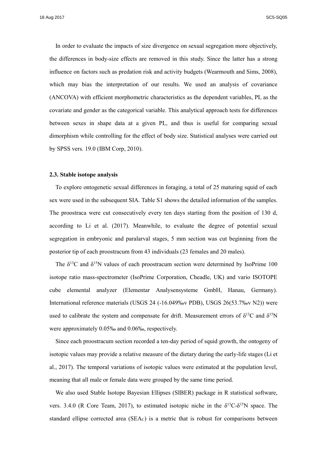In order to evaluate the impacts of size divergence on sexual segregation more objectively, the differences in body-size effects are removed in this study. Since the latter has a strong influence on factors such as predation risk and activity budgets (Wearmouth and Sims, 2008), which may bias the interpretation of our results. We used an analysis of covariance (ANCOVA) with efficient morphometric characteristics as the dependent variables, PL as the covariate and gender as the categorical variable. This analytical approach tests for differences between sexes in shape data at a given PL, and thus is useful for comparing sexual dimorphism while controlling for the effect of body size. Statistical analyses were carried out by SPSS vers. 19.0 (IBM Corp, 2010).

#### **2.3. Stable isotope analysis**

To explore ontogenetic sexual differences in foraging, a total of 25 maturing squid of each sex were used in the subsequent SIA. Table S1 shows the detailed information of the samples. The proostraca were cut consecutively every ten days starting from the position of 130 d, according to Li et al. (2017). Meanwhile, to evaluate the degree of potential sexual segregation in embryonic and paralarval stages, 5 mm section was cut beginning from the posterior tip of each proostracum from 43 individuals (23 females and 20 males).

The  $\delta^{13}$ C and  $\delta^{15}$ N values of each proostracum section were determined by IsoPrime 100 isotope ratio mass-spectrometer (IsoPrime Corporation, Cheadle, UK) and vario ISOTOPE cube elemental analyzer (Elementar Analysensysteme GmbH, Hanau, Germany). International reference materials (USGS 24 (-16.049‰v PDB), USGS 26(53.7‰v N2)) were used to calibrate the system and compensate for drift. Measurement errors of  $\delta^{13}C$  and  $\delta^{15}N$ were approximately 0.05‰ and 0.06‰, respectively.

Since each proostracum section recorded a ten-day period of squid growth, the ontogeny of isotopic values may provide a relative measure of the dietary during the early-life stages (Li et al., 2017). The temporal variations of isotopic values were estimated at the population level, meaning that all male or female data were grouped by the same time period.

We also used Stable Isotope Bayesian Ellipses (SIBER) package in R statistical software, vers. 3.4.0 (R Core Team, 2017), to estimated isotopic niche in the  $\delta^{13}C-\delta^{15}N$  space. The standard ellipse corrected area  $(SEA<sub>c</sub>)$  is a metric that is robust for comparisons between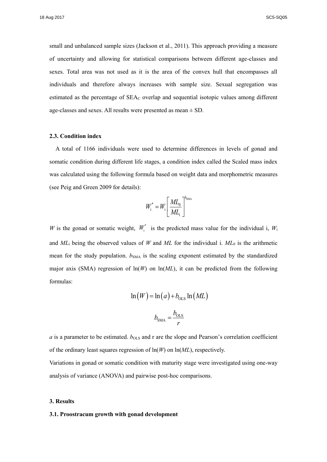small and unbalanced sample sizes (Jackson et al., 2011). This approach providing a measure of uncertainty and allowing for statistical comparisons between different age-classes and sexes. Total area was not used as it is the area of the convex hull that encompasses all individuals and therefore always increases with sample size. Sexual segregation was estimated as the percentage of SEA<sub>c</sub> overlap and sequential isotopic values among different age-classes and sexes. All results were presented as mean  $\pm$  SD.

#### **2.3. Condition index**

A total of 1166 individuals were used to determine differences in levels of gonad and somatic condition during different life stages, a condition index called the Scaled mass index was calculated using the following formula based on weight data and morphometric measures (see Peig and Green 2009 for details):

$$
W_i^* = W_i \left[ \frac{M L_0}{M L_i} \right]^{b_{\text{SMA}}}
$$

*W* is the gonad or somatic weight,  $W_i^*$  is the predicted mass value for the individual i,  $W_i$ and *ML*<sup>i</sup> being the observed values of *W* and *ML* for the individual i. *ML*<sup>0</sup> is the arithmetic mean for the study population.  $b_{SMA}$  is the scaling exponent estimated by the standardized major axis (SMA) regression of  $ln(W)$  on  $ln(ML)$ , it can be predicted from the following formulas:

$$
\ln(W) = \ln(a) + b_{\text{OLS}} \ln(ML)
$$

$$
b_{\text{SMA}} = \frac{b_{\text{OLS}}}{r}
$$

 $a$  is a parameter to be estimated.  $b_{OLS}$  and r are the slope and Pearson's correlation coefficient of the ordinary least squares regression of ln(*W*) on ln(*ML*), respectively.

Variations in gonad or somatic condition with maturity stage were investigated using one-way analysis of variance (ANOVA) and pairwise post-hoc comparisons.

#### **3. Results**

#### **3.1. Proostracum growth with gonad development**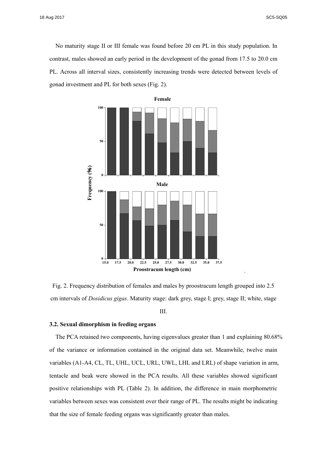·

No maturity stage II or III female was found before 20 cm PL in this study population. In contrast, males showed an early period in the development of the gonad from 17.5 to 20.0 cm PL. Across all interval sizes, consistently increasing trends were detected between levels of gonad investment and PL for both sexes (Fig. 2).



Fig. 2. Frequency distribution of females and males by proostracum length grouped into 2.5 cm intervals of *Dosidicus gigas*. Maturity stage: dark grey, stage I; grey, stage II; white, stage

III.

#### **3.2. Sexual dimorphism in feeding organs**

The PCA retained two components, having eigenvalues greater than 1 and explaining 80.68% of the variance or information contained in the original data set. Meanwhile, twelve main variables (A1-A4, CL, TL, UHL, UCL, URL, UWL, LHL and LRL) of shape variation in arm, tentacle and beak were showed in the PCA results. All these variables showed significant positive relationships with PL (Table 2). In addition, the difference in main morphometric variables between sexes was consistent over their range of PL. The results might be indicating that the size of female feeding organs was significantly greater than males.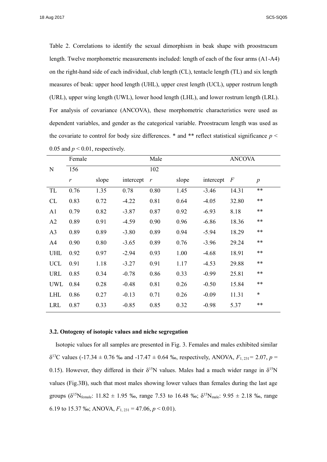Table 2. Correlations to identify the sexual dimorphism in beak shape with proostracum length. Twelve morphometric measurements included: length of each of the four arms (A1-A4) on the right-hand side of each individual, club length (CL), tentacle length (TL) and six length measures of beak: upper hood length (UHL), upper crest length (UCL), upper rostrum length (URL), upper wing length (UWL), lower hood length (LHL), and lower rostrum length (LRL). For analysis of covariance (ANCOVA), these morphometric characteristics were used as dependent variables, and gender as the categorical variable. Proostracum length was used as the covariate to control for body size differences.  $*$  and  $**$  reflect statistical significance  $p <$ 0.05 and  $p < 0.01$ , respectively.

|                | Female       |       |           | Male          |       | <b>ANCOVA</b> |                  |                  |
|----------------|--------------|-------|-----------|---------------|-------|---------------|------------------|------------------|
| ${\bf N}$      | 156          |       |           | 102           |       |               |                  |                  |
|                | $\mathbf{r}$ | slope | intercept | $\mathcal{V}$ | slope | intercept     | $\boldsymbol{F}$ | $\boldsymbol{p}$ |
| TL             | 0.76         | 1.35  | 0.78      | 0.80          | 1.45  | $-3.46$       | 14.31            | $**$             |
| CL             | 0.83         | 0.72  | $-4.22$   | 0.81          | 0.64  | $-4.05$       | 32.80            | $***$            |
| A <sub>1</sub> | 0.79         | 0.82  | $-3.87$   | 0.87          | 0.92  | $-6.93$       | 8.18             | **               |
| A2             | 0.89         | 0.91  | $-4.59$   | 0.90          | 0.96  | $-6.86$       | 18.36            | **               |
| A <sub>3</sub> | 0.89         | 0.89  | $-3.80$   | 0.89          | 0.94  | $-5.94$       | 18.29            | **               |
| A <sub>4</sub> | 0.90         | 0.80  | $-3.65$   | 0.89          | 0.76  | $-3.96$       | 29.24            | $***$            |
| <b>UHL</b>     | 0.92         | 0.97  | $-2.94$   | 0.93          | 1.00  | $-4.68$       | 18.91            | **               |
| <b>UCL</b>     | 0.91         | 1.18  | $-3.27$   | 0.91          | 1.17  | $-4.53$       | 29.88            | $***$            |
| <b>URL</b>     | 0.85         | 0.34  | $-0.78$   | 0.86          | 0.33  | $-0.99$       | 25.81            | **               |
| UWL            | 0.84         | 0.28  | $-0.48$   | 0.81          | 0.26  | $-0.50$       | 15.84            | $***$            |
| <b>LHL</b>     | 0.86         | 0.27  | $-0.13$   | 0.71          | 0.26  | $-0.09$       | 11.31            | $\ast$           |
| <b>LRL</b>     | 0.87         | 0.33  | $-0.85$   | 0.85          | 0.32  | $-0.98$       | 5.37             | $***$            |

#### **3.2. Ontogeny of isotopic values and niche segregation**

Isotopic values for all samples are presented in Fig. 3. Females and males exhibited similar  $\delta^{13}$ C values (-17.34  $\pm$  0.76 ‰ and -17.47  $\pm$  0.64 ‰, respectively, ANOVA,  $F_{1,231}$ = 2.07,  $p$  = 0.15). However, they differed in their  $\delta^{15}N$  values. Males had a much wider range in  $\delta^{15}N$ values (Fig.3B), such that most males showing lower values than females during the last age groups ( $\delta^{15}N_{\text{female}}$ : 11.82  $\pm$  1.95 ‰, range 7.53 to 16.48 ‰;  $\delta^{15}N_{\text{male}}$ : 9.95  $\pm$  2.18 ‰, range 6.19 to 15.37 ‰; ANOVA, *F*1, 231 = 47.06, *p* < 0.01).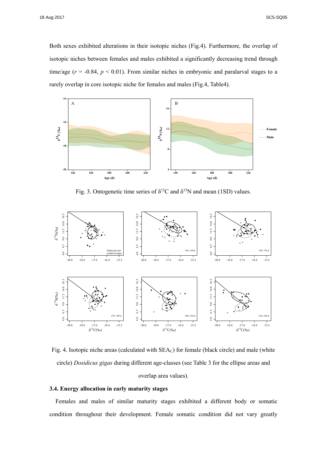Both sexes exhibited alterations in their isotopic niches (Fig.4). Furthermore, the overlap of isotopic niches between females and males exhibited a significantly decreasing trend through time/age  $(r = -0.84, p < 0.01)$ . From similar niches in embryonic and paralarval stages to a rarely overlap in core isotopic niche for females and males (Fig.4, Table4).



Fig. 3. Ontogenetic time series of  $\delta^{13}C$  and  $\delta^{15}N$  and mean (1SD) values.



Fig. 4. Isotopic niche areas (calculated with SEAC) for female (black circle) and male (white circle) *Dosidicus gigas* during different age-classes (see Table 3 for the ellipse areas and overlap area values).

#### **3.4. Energy allocation in early maturity stages**

Females and males of similar maturity stages exhibited a different body or somatic condition throughout their development. Female somatic condition did not vary greatly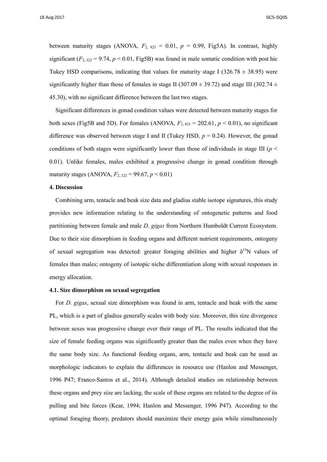between maturity stages (ANOVA,  $F_{2, 823} = 0.01$ ,  $p = 0.99$ , Fig5A). In contrast, highly significant  $(F_{2,322} = 9.74, p < 0.01, Fig5B)$  was found in male somatic condition with post hic Tukey HSD comparisons, indicating that values for maturity stage I (326.78  $\pm$  38.95) were significantly higher than those of females in stage II (307.09  $\pm$  39.72) and stage III (302.74  $\pm$ 45.30), with no significant difference between the last two stages.

Significant differences in gonad condition values were detected between maturity stages for both sexes (Fig5B and 5D). For females (ANOVA,  $F_{2, 823} = 202.61$ ,  $p < 0.01$ ), no significant difference was observed between stage I and II (Tukey HSD, *p* = 0.24). However, the gonad conditions of both stages were significantly lower than those of individuals in stage III ( $p <$ 0.01). Unlike females, males exhibited a progressive change in gonad condition through maturity stages (ANOVA,  $F_{2,322} = 99.67, p < 0.01$ )

#### **4. Discussion**

Combining arm, tentacle and beak size data and gladius stable isotope signatures, this study provides new information relating to the understanding of ontogenetic patterns and food partitioning between female and male *D. gigas* from Northern Humboldt Current Ecosystem. Due to their size dimorphism in feeding organs and different nutrient requirements, ontogeny of sexual segregation was detected: greater foraging abilities and higher  $\delta^{15}N$  values of females than males; ontogeny of isotopic niche differentiation along with sexual responses in energy allocation.

#### **4.1. Size dimorphism on sexual segregation**

For *D. gigas*, sexual size dimorphism was found in arm, tentacle and beak with the same PL, which is a part of gladius generally scales with body size. Moreover, this size divergence between sexes was progressive change over their range of PL. The results indicated that the size of female feeding organs was significantly greater than the males even when they have the same body size. As functional feeding organs, arm, tentacle and beak can be used as morphologic indicators to explain the differences in resource use (Hanlon and Messenger, 1996 P47; Franco-Santos et al., 2014). Although detailed studies on relationship between these organs and prey size are lacking, the scale of these organs are related to the degree of its pulling and bite forces (Kear, 1994; Hanlon and Messenger, 1996 P47). According to the optimal foraging theory, predators should maximize their energy gain while simultaneously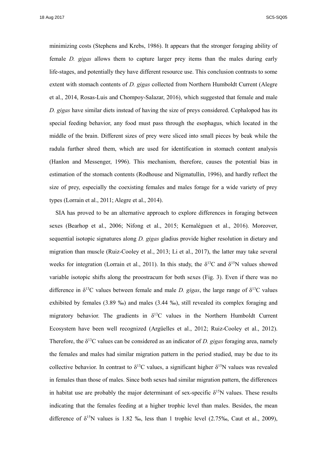minimizing costs (Stephens and Krebs, 1986). It appears that the stronger foraging ability of female *D. gigas* allows them to capture larger prey items than the males during early life-stages, and potentially they have different resource use. This conclusion contrasts to some extent with stomach contents of *D. gigas* collected from Northern Humboldt Current (Alegre et al., 2014, Rosas-Luis and Chompoy-Salazar, 2016), which suggested that female and male *D. gigas* have similar diets instead of having the size of preys considered. Cephalopod has its special feeding behavior, any food must pass through the esophagus, which located in the middle of the brain. Different sizes of prey were sliced into small pieces by beak while the radula further shred them, which are used for identification in stomach content analysis (Hanlon and Messenger, 1996). This mechanism, therefore, causes the potential bias in estimation of the stomach contents (Rodhouse and Nigmatullin, 1996), and hardly reflect the size of prey, especially the coexisting females and males forage for a wide variety of prey types (Lorrain et al., 2011; Alegre et al., 2014).

SIA has proved to be an alternative approach to explore differences in foraging between sexes (Bearhop et al., 2006; Nifong et al., 2015; Kernaléguen et al., 2016). Moreover, sequential isotopic signatures along *D. gigas* gladius provide higher resolution in dietary and migration than muscle (Ruiz-Cooley et al., 2013; Li et al., 2017), the latter may take several weeks for integration (Lorrain et al., 2011). In this study, the  $\delta^{13}C$  and  $\delta^{15}N$  values showed variable isotopic shifts along the proostracum for both sexes (Fig. 3). Even if there was no difference in  $\delta^{13}$ C values between female and male *D. gigas*, the large range of  $\delta^{13}$ C values exhibited by females (3.89 ‰) and males (3.44 ‰), still revealed its complex foraging and migratory behavior. The gradients in  $\delta^{13}C$  values in the Northern Humboldt Current Ecosystem have been well recognized (Argüelles et al., 2012; Ruiz-Cooley et al., 2012). Therefore, the δ <sup>13</sup>C values can be considered as an indicator of *D. gigas* foraging area, namely the females and males had similar migration pattern in the period studied, may be due to its collective behavior. In contrast to  $\delta^{13}C$  values, a significant higher  $\delta^{15}N$  values was revealed in females than those of males. Since both sexes had similar migration pattern, the differences in habitat use are probably the major determinant of sex-specific  $\delta^{15}N$  values. These results indicating that the females feeding at a higher trophic level than males. Besides, the mean difference of  $\delta^{15}N$  values is 1.82 ‰, less than 1 trophic level (2.75‰, Caut et al., 2009),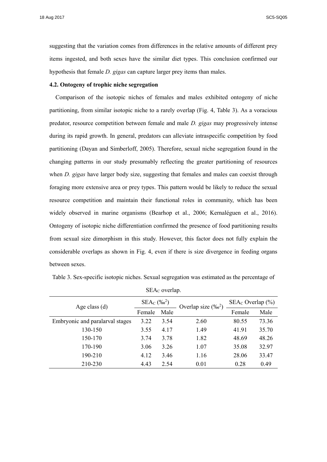18 Aug 2017 SC5-SQ05

suggesting that the variation comes from differences in the relative amounts of different prey items ingested, and both sexes have the similar diet types. This conclusion confirmed our hypothesis that female *D. gigas* can capture larger prey items than males.

#### **4.2. Ontogeny of trophic niche segregation**

Comparison of the isotopic niches of females and males exhibited ontogeny of niche partitioning, from similar isotopic niche to a rarely overlap (Fig. 4, Table 3). As a voracious predator, resource competition between female and male *D. gigas* may progressively intense during its rapid growth. In general, predators can alleviate intraspecific competition by food partitioning (Dayan and Simberloff, 2005). Therefore, sexual niche segregation found in the changing patterns in our study presumably reflecting the greater partitioning of resources when *D. gigas* have larger body size, suggesting that females and males can coexist through foraging more extensive area or prey types. This pattern would be likely to reduce the sexual resource competition and maintain their functional roles in community, which has been widely observed in marine organisms (Bearhop et al., 2006; Kernaléguen et al., 2016). Ontogeny of isotopic niche differentiation confirmed the presence of food partitioning results from sexual size dimorphism in this study. However, this factor does not fully explain the considerable overlaps as shown in Fig. 4, even if there is size divergence in feeding organs between sexes.

Table 3. Sex-specific isotopic niches. Sexual segregation was estimated as the percentage of

| Age class $(d)$                 | $SEA_C$ (% $^{2}$ ) |      | Overlap size $(\%^2)$ | $SEA_C$ Overlap $(\% )$ |       |  |
|---------------------------------|---------------------|------|-----------------------|-------------------------|-------|--|
|                                 | Female              | Male |                       | Female                  | Male  |  |
| Embryonic and paralarval stages | 3.22                | 3.54 | 2.60                  | 80.55                   | 73.36 |  |
| 130-150                         | 3.55                | 4.17 | 1.49                  | 41.91                   | 35.70 |  |
| 150-170                         | 3.74                | 3.78 | 1.82                  | 48.69                   | 48.26 |  |
| 170-190                         | 3.06                | 3.26 | 1.07                  | 35.08                   | 32.97 |  |
| 190-210                         | 4.12                | 3.46 | 1.16                  | 28.06                   | 33.47 |  |
| 210-230                         | 4.43                | 2.54 | 0.01                  | 0.28                    | 0.49  |  |

SEA<sub>c</sub> overlap.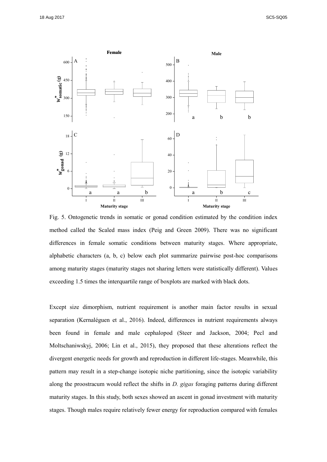

Fig. 5. Ontogenetic trends in somatic or gonad condition estimated by the condition index method called the Scaled mass index (Peig and Green 2009). There was no significant differences in female somatic conditions between maturity stages. Where appropriate, alphabetic characters (a, b, c) below each plot summarize pairwise post-hoc comparisons among maturity stages (maturity stages not sharing letters were statistically different). Values exceeding 1.5 times the interquartile range of boxplots are marked with black dots.

Except size dimorphism, nutrient requirement is another main factor results in sexual separation (Kernaléguen et al., 2016). Indeed, differences in nutrient requirements always been found in female and male cephalopod (Steer and Jackson, 2004; Pecl and Moltschaniwskyj, 2006; Lin et al., 2015), they proposed that these alterations reflect the divergent energetic needs for growth and reproduction in different life-stages. Meanwhile, this pattern may result in a step-change isotopic niche partitioning, since the isotopic variability along the proostracum would reflect the shifts in *D. gigas* foraging patterns during different maturity stages. In this study, both sexes showed an ascent in gonad investment with maturity stages. Though males require relatively fewer energy for reproduction compared with females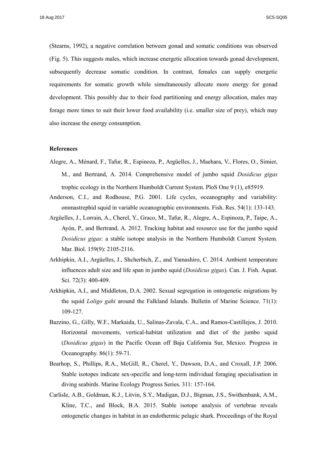(Stearns, 1992), a negative correlation between gonad and somatic conditions was observed (Fig. 5). This suggests males, which increase energetic allocation towards gonad development, subsequently decrease somatic condition. In contrast, females can supply energetic requirements for somatic growth while simultaneously allocate more energy for gonad development. This possibly due to their food partitioning and energy allocation, males may forage more times to suit their lower food availability (i.e. smaller size of prey), which may also increase the energy consumption.

#### **References**

- Alegre, A., Ménard, F., Tafur, R., Espinoza, P., Argüelles, J., Maehara, V., Flores, O., Simier, M., and Bertrand, A. 2014. Comprehensive model of jumbo squid *Dosidicus gigas* trophic ecology in the Northern Humboldt Current System. PloS One 9 (1), e85919.
- Anderson, C.I., and Rodhouse, P.G. 2001. Life cycles, oceanography and variability: ommastrephid squid in variable oceanographic environments. Fish. Res. 54(1): 133-143.
- Argüelles, J., Lorrain, A., Cherel, Y., Graco, M., Tafur, R., Alegre, A., Espinoza, P., Taipe, A., Ayón, P., and Bertrand, A. 2012. Tracking habitat and resource use for the jumbo squid *Dosidicus gigas*: a stable isotope analysis in the Northern Humboldt Current System. Mar. Biol. 159(9): 2105-2116.
- Arkhipkin, A.I., Argüelles, J., Shcherbich, Z., and Yamashiro, C. 2014. Ambient temperature influences adult size and life span in jumbo squid (*Dosidicus gigas*). Can. J. Fish. Aquat. Sci. 72(3): 400-409.
- Arkhipkin, A.I., and Middleton, D.A. 2002. Sexual segregation in ontogenetic migrations by the squid *Loligo gahi* around the Falkland Islands. Bulletin of Marine Science. 71(1): 109-127.
- Bazzino, G., Gilly, W.F., Markaida, U., Salinas-Zavala, C.A., and Ramos-Castillejos, J. 2010. Horizontal movements, vertical-habitat utilization and diet of the jumbo squid (*Dosidicus gigas*) in the Pacific Ocean off Baja California Sur, Mexico. Progress in Oceanography. 86(1): 59-71.
- Bearhop, S., Phillips, R.A., McGill, R., Cherel, Y., Dawson, D.A., and Croxall, J.P. 2006. Stable isotopes indicate sex-specific and long-term individual foraging specialisation in diving seabirds. Marine Ecology Progress Series. 311: 157-164.
- Carlisle, A.B., Goldman, K.J., Litvin, S.Y., Madigan, D.J., Bigman, J.S., Swithenbank, A.M., Kline, T.C., and Block, B.A. 2015. Stable isotope analysis of vertebrae reveals ontogenetic changes in habitat in an endothermic pelagic shark. Proceedings of the Royal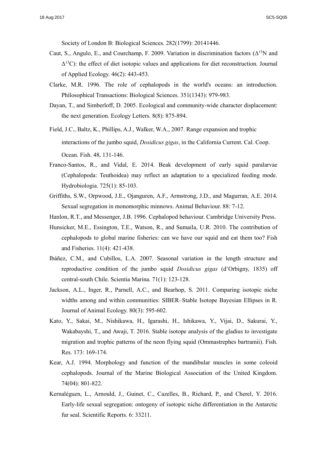Society of London B: Biological Sciences. 282(1799): 20141446.

- Caut, S., Angulo, E., and Courchamp, F. 2009. Variation in discrimination factors ( $\Delta^{15}$ N and  $\Delta^{13}$ C): the effect of diet isotopic values and applications for diet reconstruction. Journal of Applied Ecology. 46(2): 443-453.
- Clarke, M.R. 1996. The role of cephalopods in the world's oceans: an introduction. Philosophical Transactions: Biological Sciences. 351(1343): 979-983.
- Dayan, T., and Simberloff, D. 2005. Ecological and community-wide character displacement: the next generation. Ecology Letters. 8(8): 875-894.
- Field, J.C., Baltz, K., Phillips, A.J., Walker, W.A., 2007. Range expansion and trophic interactions of the jumbo squid, *Dosidicus gigas*, in the California Current. Cal. Coop. Ocean. Fish. 48, 131-146.
- Franco-Santos, R., and Vidal, E. 2014. Beak development of early squid paralarvae (Cephalopoda: Teuthoidea) may reflect an adaptation to a specialized feeding mode. Hydrobiologia. 725(1): 85-103.
- Griffiths, S.W., Orpwood, J.E., Ojanguren, A.F., Armstrong, J.D., and Magurran, A.E. 2014. Sexual segregation in monomorphic minnows. Animal Behaviour. 88: 7-12.
- Hanlon, R.T., and Messenger, J.B. 1996. Cephalopod behaviour. Cambridge University Press.
- Hunsicker, M.E., Essington, T.E., Watson, R., and Sumaila, U.R. 2010. The contribution of cephalopods to global marine fisheries: can we have our squid and eat them too? Fish and Fisheries. 11(4): 421-438.
- Ibáñez, C.M., and Cubillos, L.A. 2007. Seasonal variation in the length structure and reproductive condition of the jumbo squid *Dosidicus gigas* (d'Orbigny, 1835) off central-south Chile. Scientia Marina. 71(1): 123-128.
- Jackson, A.L., Inger, R., Parnell, A.C., and Bearhop, S. 2011. Comparing isotopic niche widths among and within communities: SIBER–Stable Isotope Bayesian Ellipses in R. Journal of Animal Ecology. 80(3): 595-602.
- Kato, Y., Sakai, M., Nishikawa, H., Igarashi, H., Ishikawa, Y., Vijai, D., Sakurai, Y., Wakabayshi, T., and Awaji, T. 2016. Stable isotope analysis of the gladius to investigate migration and trophic patterns of the neon flying squid (Ommastrephes bartramii). Fish. Res. 173: 169-174.
- Kear, A.J. 1994. Morphology and function of the mandibular muscles in some coleoid cephalopods. Journal of the Marine Biological Association of the United Kingdom. 74(04): 801-822.
- Kernaléguen, L., Arnould, J., Guinet, C., Cazelles, B., Richard, P., and Cherel, Y. 2016. Early-life sexual segregation: ontogeny of isotopic niche differentiation in the Antarctic fur seal. Scientific Reports. 6: 33211.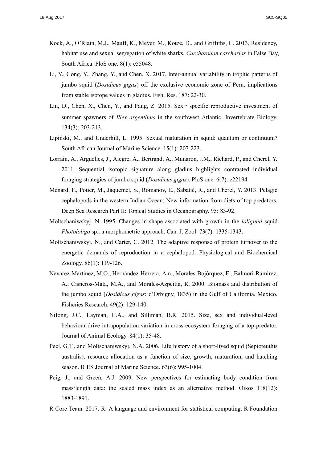- Kock, A., O'Riain, M.J., Mauff, K., Meÿer, M., Kotze, D., and Griffiths, C. 2013. Residency, habitat use and sexual segregation of white sharks, *Carcharodon carcharias* in False Bay, South Africa. PloS one. 8(1): e55048.
- Li, Y., Gong, Y., Zhang, Y., and Chen, X. 2017. Inter-annual variability in trophic patterns of jumbo squid (*Dosidicus gigas*) off the exclusive economic zone of Peru, implications from stable isotope values in gladius. Fish. Res. 187: 22-30.
- Lin, D., Chen, X., Chen, Y., and Fang, Z. 2015. Sex specific reproductive investment of summer spawners of *Illex argentinus* in the southwest Atlantic. Invertebrate Biology. 134(3): 203-213.
- Lipiński, M., and Underhill, L. 1995. Sexual maturation in squid: quantum or continuum? South African Journal of Marine Science. 15(1): 207-223.
- Lorrain, A., Arguelles, J., Alegre, A., Bertrand, A., Munaron, J.M., Richard, P., and Cherel, Y. 2011. Sequential isotopic signature along gladius highlights contrasted individual foraging strategies of jumbo squid (*Dosidicus gigas*). PloS one. 6(7): e22194.
- Ménard, F., Potier, M., Jaquemet, S., Romanov, E., Sabatié, R., and Cherel, Y. 2013. Pelagic cephalopods in the western Indian Ocean: New information from diets of top predators. Deep Sea Research Part II: Topical Studies in Oceanography. 95: 83-92.
- Moltschaniwskyj, N. 1995. Changes in shape associated with growth in the *loliginid* squid *Photololigo* sp.: a morphometric approach. Can. J. Zool. 73(7): 1335-1343.
- Moltschaniwskyj, N., and Carter, C. 2012. The adaptive response of protein turnover to the energetic demands of reproduction in a cephalopod. Physiological and Biochemical Zoology. 86(1): 119-126.
- Nevárez-Martínez, M.O., Hernández-Herrera, A.n., Morales-Bojórquez, E., Balmori-Ramírez, A., Cisneros-Mata, M.A., and Morales-Azpeitia, R. 2000. Biomass and distribution of the jumbo squid (*Dosidicus gigas*; d'Orbigny, 1835) in the Gulf of California, Mexico. Fisheries Research. 49(2): 129-140.
- Nifong, J.C., Layman, C.A., and Silliman, B.R. 2015. Size, sex and individual-level behaviour drive intrapopulation variation in cross-ecosystem foraging of a top-predator. Journal of Animal Ecology. 84(1): 35-48.
- Pecl, G.T., and Moltschaniwskyj, N.A. 2006. Life history of a short-lived squid (Sepioteuthis australis): resource allocation as a function of size, growth, maturation, and hatching season. ICES Journal of Marine Science. 63(6): 995-1004.
- Peig, J., and Green, A.J. 2009. New perspectives for estimating body condition from mass/length data: the scaled mass index as an alternative method. Oikos 118(12): 1883-1891.
- R Core Team. 2017. R: A language and environment for statistical computing. R Foundation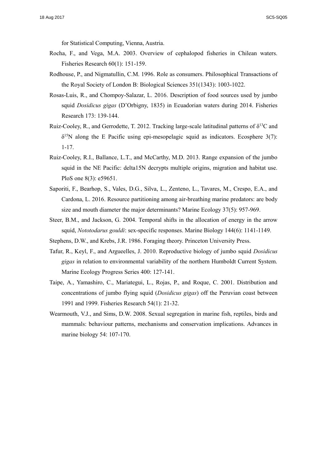for Statistical Computing, Vienna, Austria.

- Rocha, F., and Vega, M.A. 2003. Overview of cephalopod fisheries in Chilean waters. Fisheries Research 60(1): 151-159.
- Rodhouse, P., and Nigmatullin, C.M. 1996. Role as consumers. Philosophical Transactions of the Royal Society of London B: Biological Sciences 351(1343): 1003-1022.
- Rosas-Luis, R., and Chompoy-Salazar, L. 2016. Description of food sources used by jumbo squid *Dosidicus gigas* (D'Orbigny, 1835) in Ecuadorian waters during 2014. Fisheries Research 173: 139-144.
- Ruiz-Cooley, R., and Gerrodette, T. 2012. Tracking large-scale latitudinal patterns of  $\delta^{13}C$  and  $\delta^{15}$ N along the E Pacific using epi-mesopelagic squid as indicators. Ecosphere 3(7): 1-17.
- Ruiz-Cooley, R.I., Ballance, L.T., and McCarthy, M.D. 2013. Range expansion of the jumbo squid in the NE Pacific: delta15N decrypts multiple origins, migration and habitat use. PloS one 8(3): e59651.
- Saporiti, F., Bearhop, S., Vales, D.G., Silva, L., Zenteno, L., Tavares, M., Crespo, E.A., and Cardona, L. 2016. Resource partitioning among air-breathing marine predators: are body size and mouth diameter the major determinants? Marine Ecology 37(5): 957-969.
- Steer, B.M., and Jackson, G. 2004. Temporal shifts in the allocation of energy in the arrow squid, *Nototodarus gouldi*: sex-specific responses. Marine Biology 144(6): 1141-1149.
- Stephens, D.W., and Krebs, J.R. 1986. Foraging theory. Princeton University Press.
- Tafur, R., Keyl, F., and Argueelles, J. 2010. Reproductive biology of jumbo squid *Dosidicus gigas* in relation to environmental variability of the northern Humboldt Current System. Marine Ecology Progress Series 400: 127-141.
- Taipe, A., Yamashiro, C., Mariategui, L., Rojas, P., and Roque, C. 2001. Distribution and concentrations of jumbo flying squid (*Dosidicus gigas*) off the Peruvian coast between 1991 and 1999. Fisheries Research 54(1): 21-32.
- Wearmouth, V.J., and Sims, D.W. 2008. Sexual segregation in marine fish, reptiles, birds and mammals: behaviour patterns, mechanisms and conservation implications. Advances in marine biology 54: 107-170.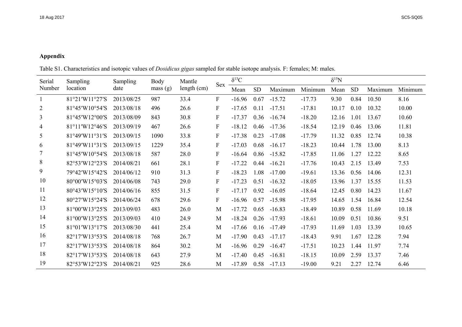### **Appendix**

Table S1. Characteristics and isotopic values of *Dosidicus gigas* sampled for stable isotope analysis. F: females; M: males.

| Serial         | Sampling       | Sampling   | Body    | Mantle      | Sex          | $\delta^{13}C$ |      |          |          |       | $\delta^{15}N$ |         |         |  |
|----------------|----------------|------------|---------|-------------|--------------|----------------|------|----------|----------|-------|----------------|---------|---------|--|
| Number         | location       | date       | mass(g) | length (cm) |              |                | SD   | Maximum  | Minimum  | Mean  | <b>SD</b>      | Maximum | Minimum |  |
| $\mathbf{1}$   | 81°21′W11°27′S | 2013/08/25 | 987     | 33.4        | $\mathbf{F}$ | $-16.96$       | 0.67 | $-15.72$ | $-17.73$ | 9.30  | 0.84           | 10.50   | 8.16    |  |
| $\overline{2}$ | 81°45'W10°54'S | 2013/08/18 | 496     | 26.6        | $\mathbf F$  | $-17.65$       | 0.11 | $-17.51$ | $-17.81$ | 10.17 | 0.10           | 10.32   | 10.00   |  |
| 3              | 81°45'W12°00'S | 2013/08/09 | 843     | 30.8        | $\mathbf{F}$ | $-17.37$       | 0.36 | $-16.74$ | $-18.20$ | 12.16 | 1.01           | 13.67   | 10.60   |  |
| 4              | 81°11′W12°46′S | 2013/09/19 | 467     | 26.6        | $\mathbf F$  | $-18.12$       | 0.46 | $-17.36$ | $-18.54$ | 12.19 | 0.46           | 13.06   | 11.81   |  |
| 5              | 81°49'W11°31'S | 2013/09/15 | 1090    | 33.8        | $\mathbf F$  | $-17.38$       | 0.23 | $-17.08$ | $-17.79$ | 11.32 | 0.85           | 12.74   | 10.38   |  |
| 6              | 81°49'W11°31'S | 2013/09/15 | 1229    | 35.4        | $\mathbf{F}$ | $-17.03$       | 0.68 | $-16.17$ | $-18.23$ | 10.44 | 1.78           | 13.00   | 8.13    |  |
|                | 81°45'W10°54'S | 2013/08/18 | 587     | 28.0        | $\mathbf{F}$ | $-16.64$       | 0.86 | $-15.82$ | $-17.85$ | 11.06 | 1.27           | 12.22   | 8.65    |  |
| 8              | 82°53'W12°23'S | 2014/08/21 | 661     | 28.1        | F            | $-17.22$       | 0.44 | $-16.21$ | $-17.76$ | 10.43 | 2.15           | 13.49   | 7.53    |  |
| 9              | 79°42'W15°42'S | 2014/06/12 | 910     | 31.3        | F            | $-18.23$       | 1.08 | $-17.00$ | $-19.61$ | 13.36 | 0.56           | 14.06   | 12.31   |  |
| 10             | 80°00'W15°03'S | 2014/06/08 | 743     | 29.0        | $\mathbf F$  | $-17.23$       | 0.51 | $-16.32$ | $-18.05$ | 13.96 | 1.37           | 15.55   | 11.53   |  |
| 11             | 80°43′W15°10′S | 2014/06/16 | 855     | 31.5        | $\mathbf{F}$ | $-17.17$       | 0.92 | $-16.05$ | $-18.64$ | 12.45 | 0.80           | 14.23   | 11.67   |  |
| 12             | 80°27'W15°24'S | 2014/06/24 | 678     | 29.6        | $\mathbf{F}$ | $-16.96$       | 0.57 | $-15.98$ | $-17.95$ | 14.65 | 1.54           | 16.84   | 12.54   |  |
| 13             | 81°00'W13°25'S | 2013/09/03 | 483     | 26.0        | M            | $-17.72$       | 0.65 | $-16.83$ | $-18.49$ | 10.89 | 0.58           | 11.69   | 10.18   |  |
| 14             | 81°00'W13°25'S | 2013/09/03 | 410     | 24.9        | M            | $-18.24$       | 0.26 | $-17.93$ | $-18.61$ | 10.09 | 0.51           | 10.86   | 9.51    |  |
| 15             | 81°01′W13°17′S | 2013/08/30 | 441     | 25.4        | M            | $-17.66$       | 0.16 | $-17.49$ | $-17.93$ | 11.69 | 1.03           | 13.39   | 10.65   |  |
| 16             | 82°17′W13°53′S | 2014/08/18 | 768     | 26.7        | M            | $-17.90$       | 0.43 | $-17.17$ | $-18.43$ | 9.91  | 1.67           | 12.28   | 7.94    |  |
| 17             | 82°17′W13°53′S | 2014/08/18 | 864     | 30.2        | M            | $-16.96$       | 0.29 | $-16.47$ | $-17.51$ | 10.23 | 1.44           | 11.97   | 7.74    |  |
| 18             | 82°17′W13°53′S | 2014/08/18 | 643     | 27.9        | M            | $-17.40$       | 0.45 | $-16.81$ | $-18.15$ | 10.09 | 2.59           | 13.37   | 7.46    |  |
| 19             | 82°53′W12°23′S | 2014/08/21 | 925     | 28.6        | M            | $-17.89$       | 0.58 | $-17.13$ | $-19.00$ | 9.21  | 2.27           | 12.74   | 6.46    |  |